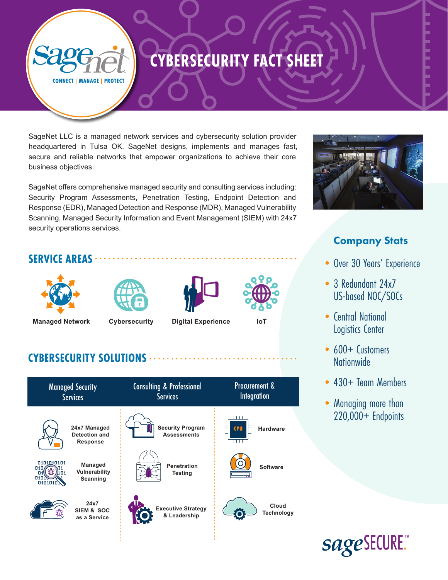# **CYBERSECURITY FACT SHEET**

**CONNECT | MANAGE | PROTECT** 

SageNet LLC is a managed network services and cybersecurity solution provider headquartered in Tulsa OK. SageNet designs, implements and manages fast, secure and reliable networks that empower organizations to achieve their core business objectives.

SageNet offers comprehensive managed security and consulting services including: Security Program Assessments, Penetration Testing, Endpoint Detection and Response (EDR), Managed Detection and Response (MDR), Managed Vulnerability Scanning, Managed Security Information and Event Management (SIEM) with 24x7 security operations services.

### **SERVICE AREAS**











### **CYBERSECURITY SOLUTIONS**

| <b>Managed Security</b><br><b>Services</b>                 |                                                         | <b>Consulting &amp; Professional</b><br><b>Services</b> |                                               | Procurement &<br><b>Integration</b> |                            |
|------------------------------------------------------------|---------------------------------------------------------|---------------------------------------------------------|-----------------------------------------------|-------------------------------------|----------------------------|
|                                                            | 24x7 Managed<br><b>Detection and</b><br><b>Response</b> |                                                         | <b>Security Program</b><br><b>Assessments</b> | <b>CPU</b><br>╓╓                    | <b>Hardware</b>            |
| 0101010101<br>010<br>$\Pi$ 1<br>$\Pi$ 1<br>0102<br>0101010 | Managed<br>Vulnerability<br>Scanning                    |                                                         | <b>Penetration</b><br>Testing                 |                                     | <b>Software</b>            |
|                                                            | 24x7<br><b>SIEM &amp; SOC</b><br>as a Service           |                                                         | <b>Executive Strategy</b><br>& Leadership     |                                     | Cloud<br><b>Technology</b> |
|                                                            |                                                         |                                                         |                                               |                                     |                            |



## Company Stats

- Over 30 Years' Experience
- 3 Redundant 24x7 US-based NOC/SOCs
- Central National Logistics Center
- 600+ Customers **Nationwide**
- 430+ Team Members
- Managing more than 220,000+ Endpoints